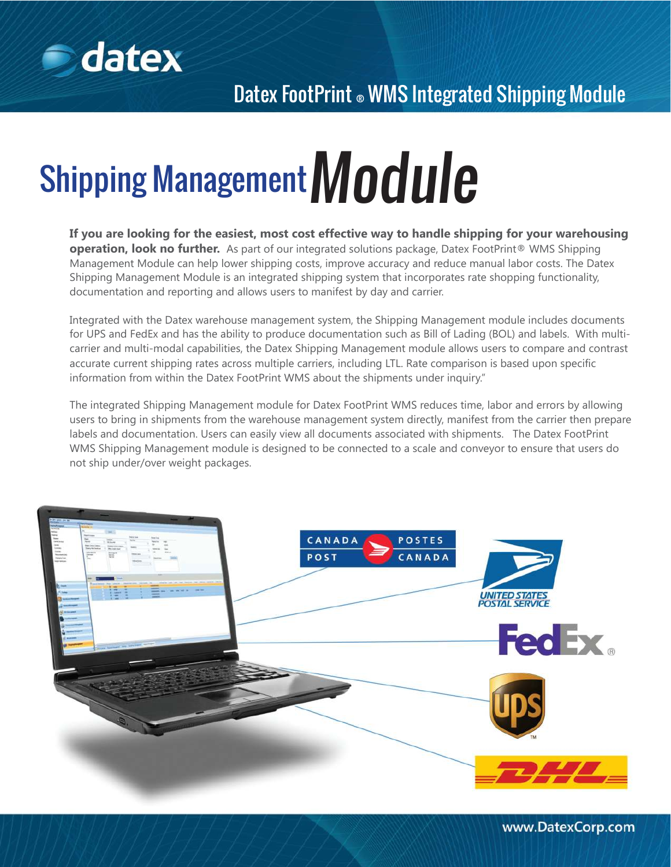

# Shipping Management  $\textsf{Module}$

**If you are looking for the easiest, most cost effective way to handle shipping for your warehousing operation, look no further.** As part of our integrated solutions package, Datex FootPrint® WMS Shipping Management Module can help lower shipping costs, improve accuracy and reduce manual labor costs. The Datex Shipping Management Module is an integrated shipping system that incorporates rate shopping functionality, documentation and reporting and allows users to manifest by day and carrier.

Integrated with the Datex warehouse management system, the Shipping Management module includes documents for UPS and FedEx and has the ability to produce documentation such as Bill of Lading (BOL) and labels. With multicarrier and multi-modal capabilities, the Datex Shipping Management module allows users to compare and contrast accurate current shipping rates across multiple carriers, including LTL. Rate comparison is based upon specific information from within the Datex FootPrint WMS about the shipments under inquiry."

The integrated Shipping Management module for Datex FootPrint WMS reduces time, labor and errors by allowing users to bring in shipments from the warehouse management system directly, manifest from the carrier then prepare labels and documentation. Users can easily view all documents associated with shipments. The Datex FootPrint WMS Shipping Management module is designed to be connected to a scale and conveyor to ensure that users do not ship under/over weight packages.